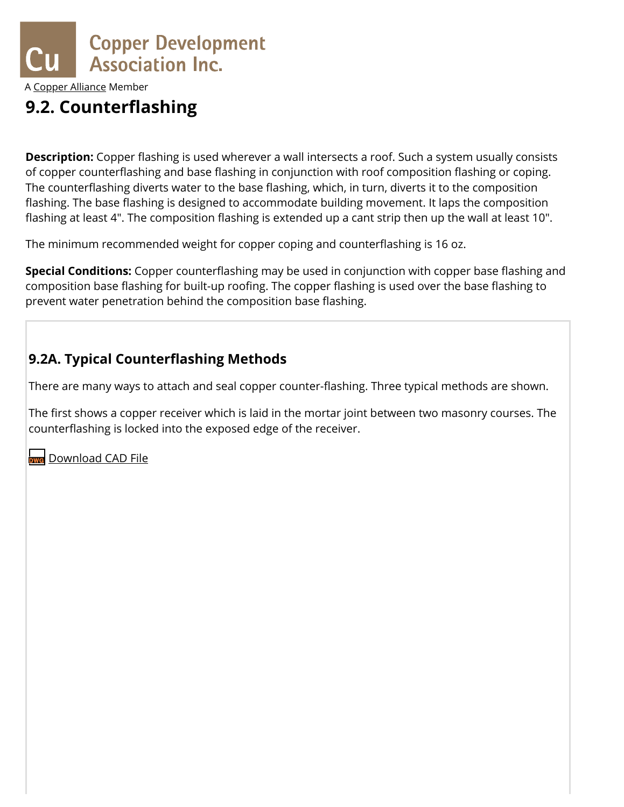

A [Copper Alliance](http://copperalliance.org/) Member

## **9.2. Counterflashing**

**Description:** Copper flashing is used wherever a wall intersects a roof. Such a system usually consists of copper counterflashing and base flashing in conjunction with roof composition flashing or coping. The counterflashing diverts water to the base flashing, which, in turn, diverts it to the composition flashing. The base flashing is designed to accommodate building movement. It laps the composition flashing at least 4". The composition flashing is extended up a cant strip then up the wall at least 10".

The minimum recommended weight for copper coping and counterflashing is 16 oz.

**Special Conditions:** Copper counterflashing may be used in conjunction with copper base flashing and composition base flashing for built-up roofing. The copper flashing is used over the base flashing to prevent water penetration behind the composition base flashing.

#### <span id="page-0-0"></span>**9.2A. Typical Counterflashing Methods**

There are many ways to attach and seal copper counter-flashing. Three typical methods are shown.

The first shows a copper receiver which is laid in the mortar joint between two masonry courses. The counterflashing is locked into the exposed edge of the receiver.

https://www.copper.org/applications/architecture/arch\_dhb/arch-details/flashings\_copings/counterflashing.html 1/15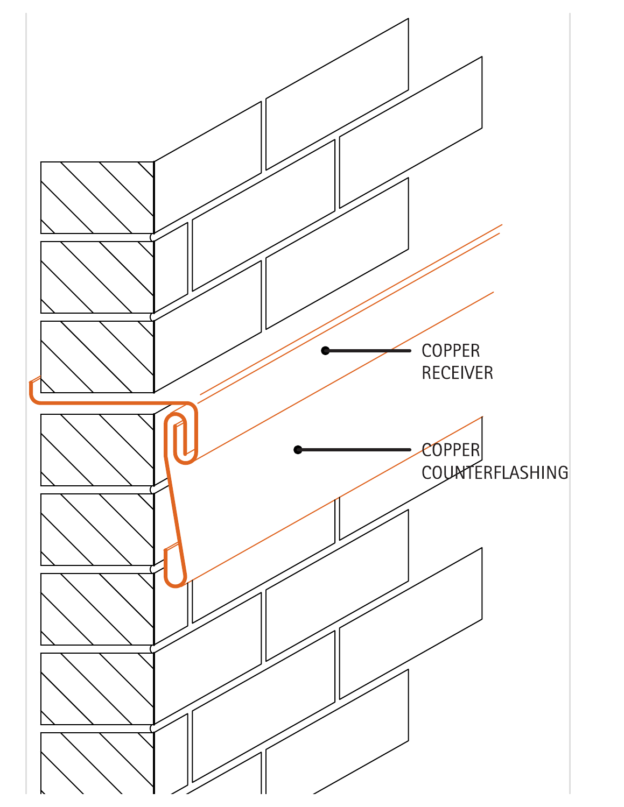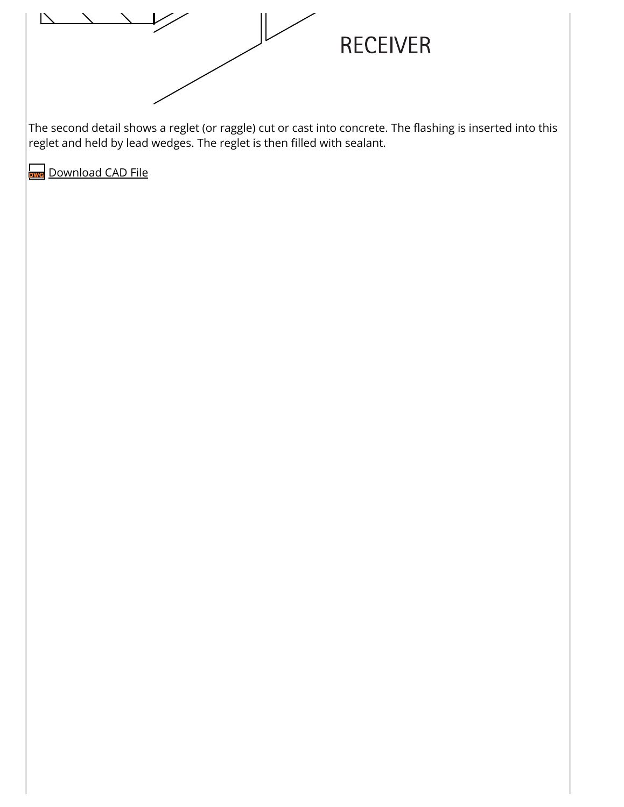

The second detail shows a reglet (or raggle) cut or cast into concrete. The flashing is inserted into this reglet and held by lead wedges. The reglet is then filled with sealant.

https://www.copper.org/applications/architecture/arch\_dhb/arch-details/flashings\_copings/counterflashing.html 3/15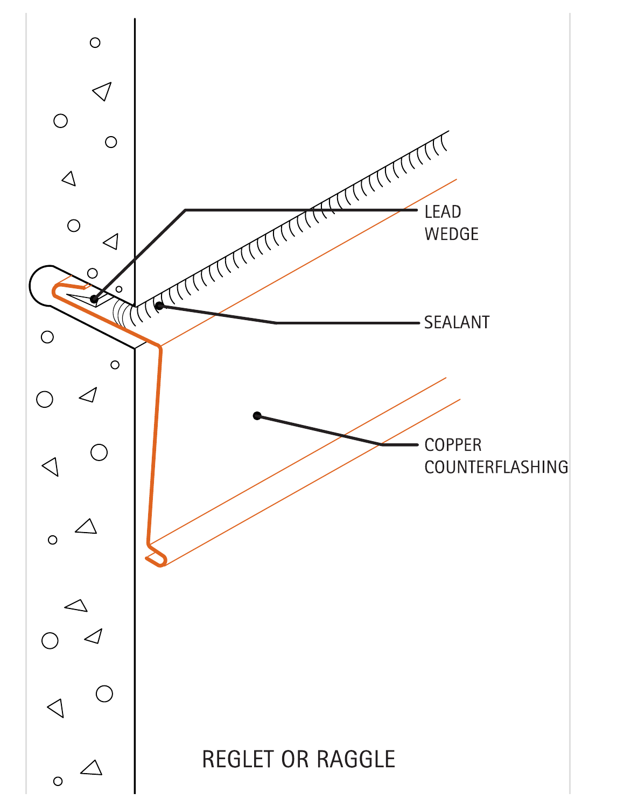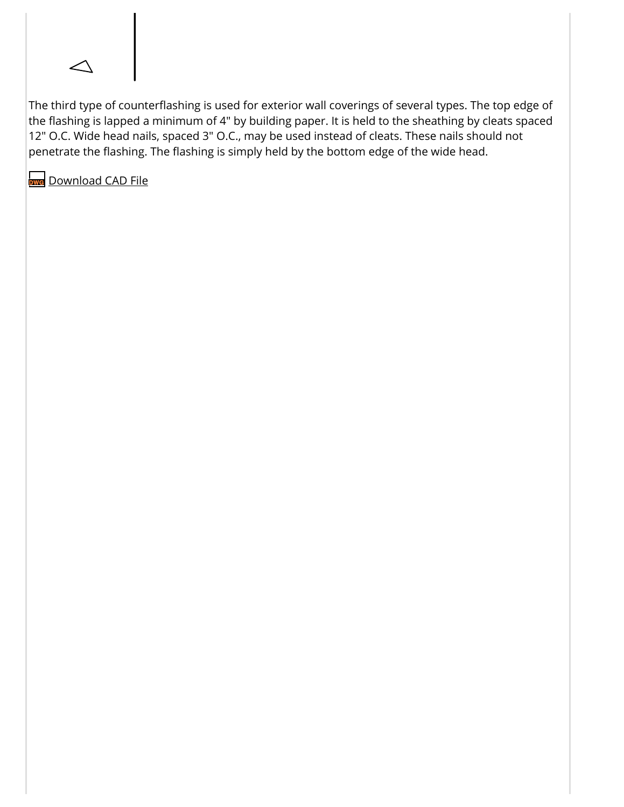

The third type of counterflashing is used for exterior wall coverings of several types. The top edge of the flashing is lapped a minimum of 4" by building paper. It is held to the sheathing by cleats spaced 12" O.C. Wide head nails, spaced 3" O.C., may be used instead of cleats. These nails should not penetrate the flashing. The flashing is simply held by the bottom edge of the wide head.

https://www.copper.org/applications/architecture/arch\_dhb/arch-details/flashings\_copings/counterflashing.html 5/15

5/2/2019 Architecture Design Handbook: Flashings and Copings - Counterflashing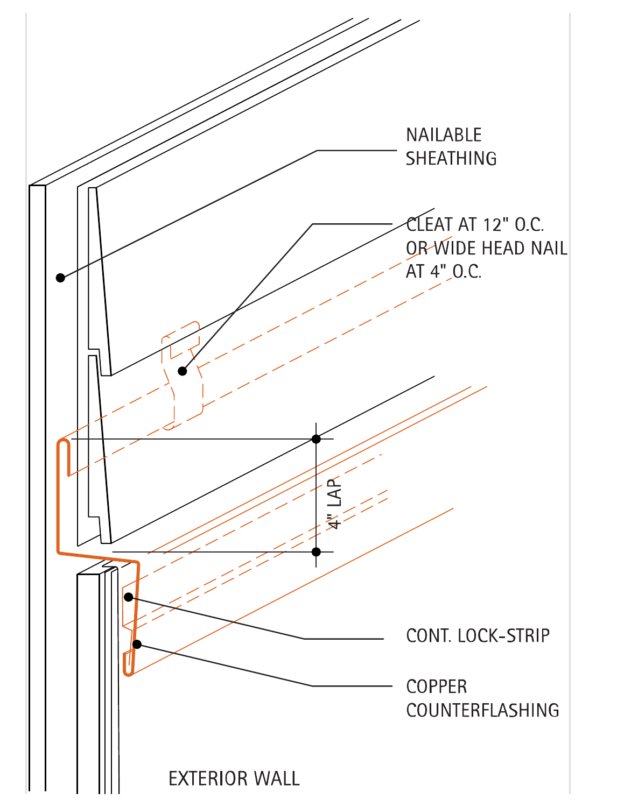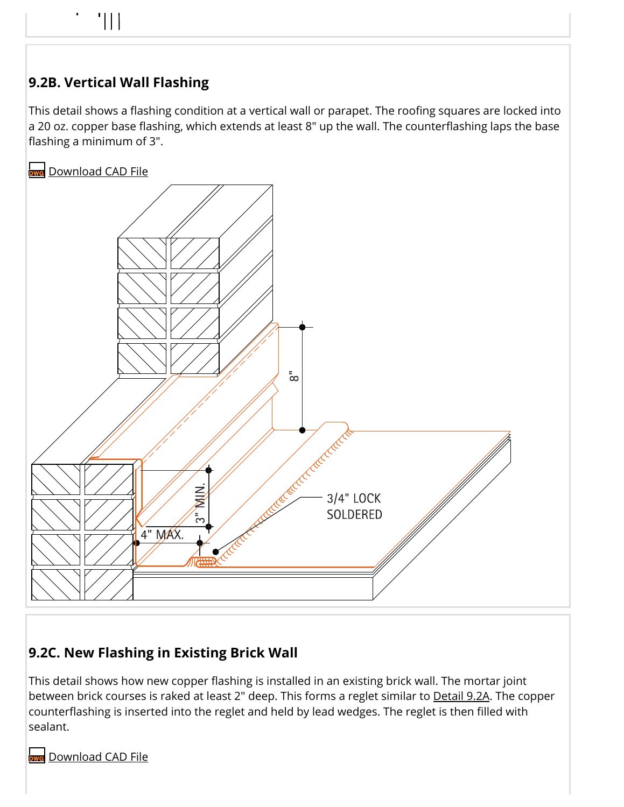# 5/2/2019 Architecture Design Handbook: Flashings and Copings - Counterflashing

### **9.2B. Vertical Wall Flashing**

This detail shows a flashing condition at a vertical wall or parapet. The roofing squares are locked into a 20 oz. copper base flashing, which extends at least 8" up the wall. The counterflashing laps the base flashing a minimum of 3".

**[Download](https://www.copper.org/applications/architecture/arch_dhb/cads/flashing-counter.B.vertical-wall-flashing.dwg) CAD File** 



### **9.2C. New Flashing in Existing Brick Wall**

This detail shows how new copper flashing is installed in an existing brick wall. The mortar joint between brick courses is raked at least 2" deep. This forms a reglet similar to [Detail](#page-0-0) 9.2A. The copper counterflashing is inserted into the reglet and held by lead wedges. The reglet is then filled with sealant.

https://www.copper.org/applications/architecture/arch\_dhb/arch-details/flashings\_copings/counterflashing.html 7/15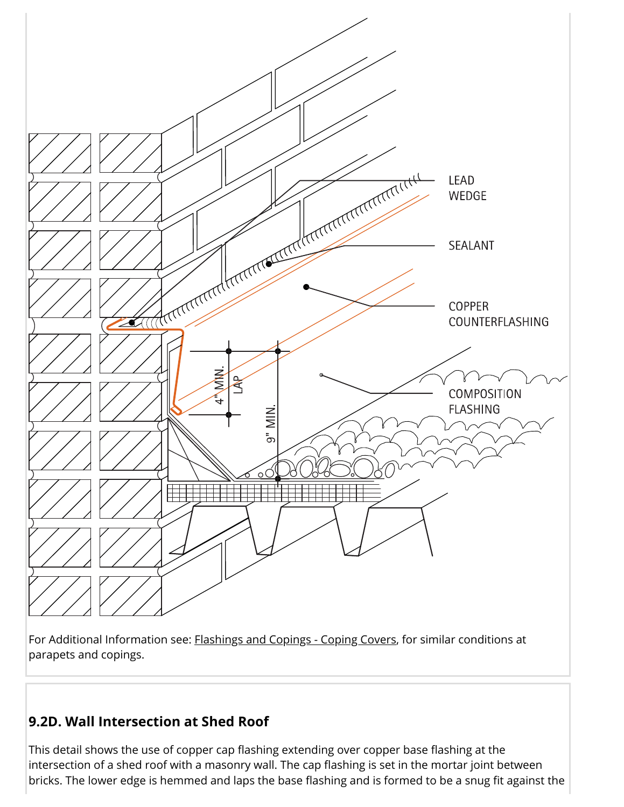![](_page_7_Figure_0.jpeg)

For Additional Information see: **[Flashings](https://www.copper.org/applications/architecture/arch_dhb/arch-details/flashings_copings/coping_covers.html) and Copings - Coping Covers**, for similar conditions at parapets and copings.

#### **9.2D. Wall Intersection at Shed Roof**

bricks. The lower edge is hemmed and laps the base flashing and is formed to be a snug fit against the passion This detail shows the use of copper cap flashing extending over copper base flashing at the intersection of a shed roof with a masonry wall. The cap flashing is set in the mortar joint between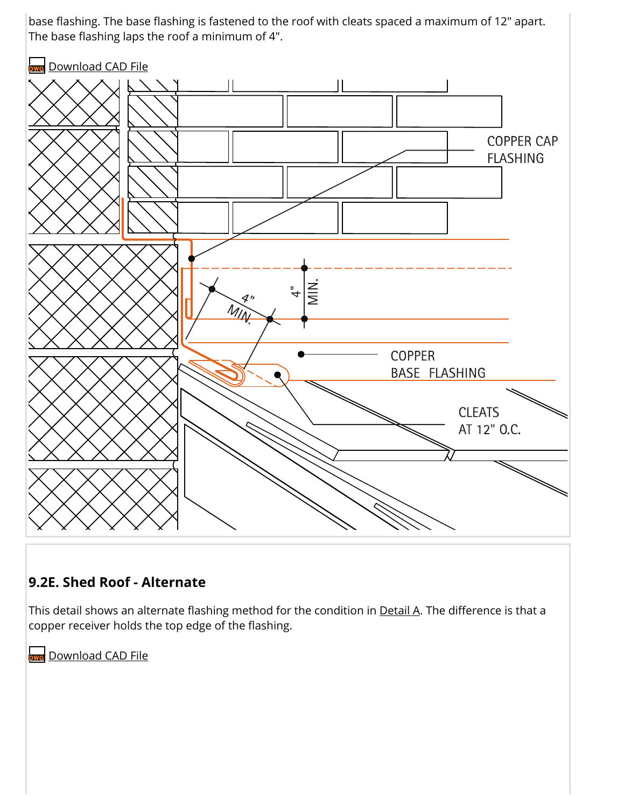base flashing. The base flashing is fastened to the roof with cleats spaced a maximum of 12" apart. The base flashing laps the roof a minimum of 4".

![](_page_8_Figure_1.jpeg)

#### **9.2E. Shed Roof - Alternate**

This detail shows an alternate flashing method for the condition in [Detail](#page-0-0) A. The difference is that a copper receiver holds the top edge of the flashing.

https://www.copper.org/applications/architecture/arch\_dhb/arch-details/flashings\_copings/counterflashing.html 9/15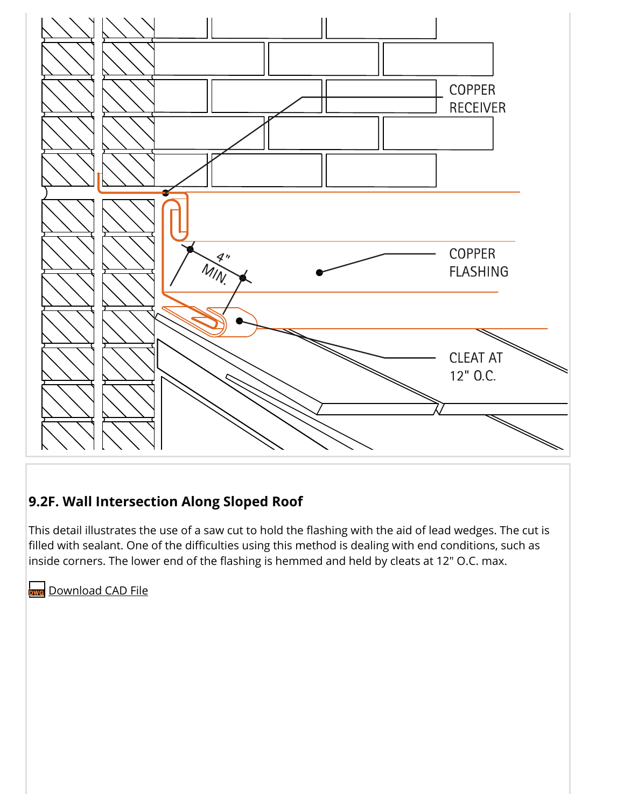![](_page_9_Figure_0.jpeg)

#### **9.2F. Wall Intersection Along Sloped Roof**

This detail illustrates the use of a saw cut to hold the flashing with the aid of lead wedges. The cut is filled with sealant. One of the difficulties using this method is dealing with end conditions, such as inside corners. The lower end of the flashing is hemmed and held by cleats at 12" O.C. max.

https://www.copper.org/applications/architecture/arch\_dhb/arch-details/flashings\_copings/counterflashing.html 10/15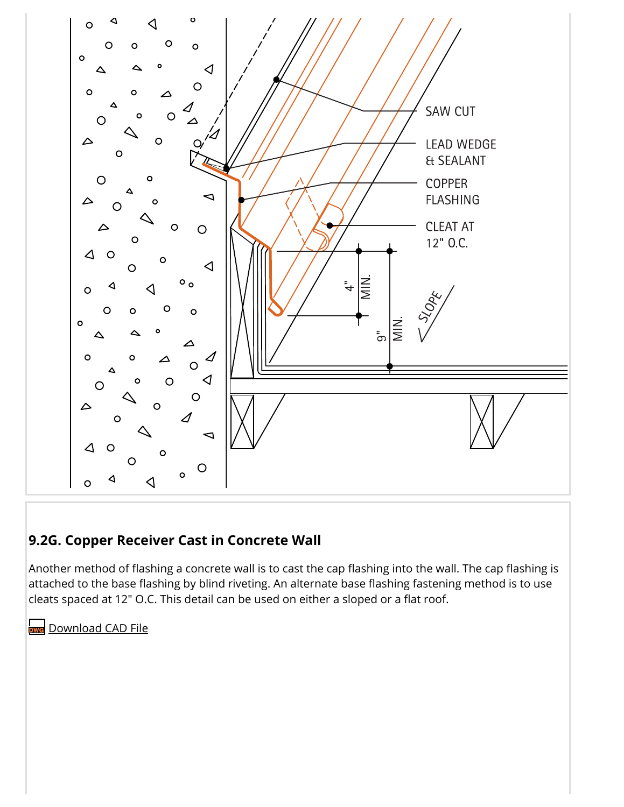![](_page_10_Figure_0.jpeg)

#### **9.2G. Copper Receiver Cast in Concrete Wall**

Another method of flashing a concrete wall is to cast the cap flashing into the wall. The cap flashing is attached to the base flashing by blind riveting. An alternate base flashing fastening method is to use cleats spaced at 12" O.C. This detail can be used on either a sloped or a flat roof.

https://www.copper.org/applications/architecture/arch\_dhb/arch-details/flashings\_copings/counterflashing.html 11/15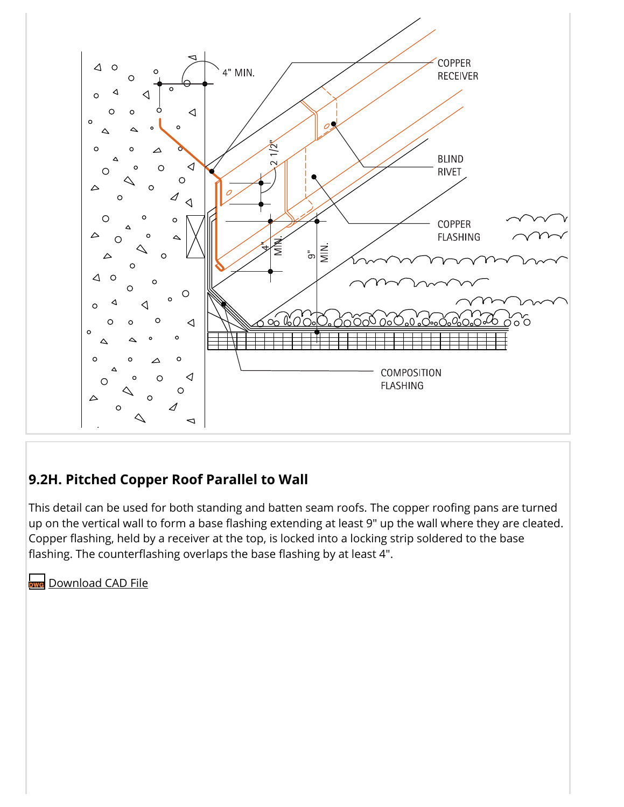![](_page_11_Figure_0.jpeg)

#### <span id="page-11-0"></span>**9.2H. Pitched Copper Roof Parallel to Wall**

This detail can be used for both standing and batten seam roofs. The copper roofing pans are turned up on the vertical wall to form a base flashing extending at least 9" up the wall where they are cleated. Copper flashing, held by a receiver at the top, is locked into a locking strip soldered to the base flashing. The counterflashing overlaps the base flashing by at least 4".

https://www.copper.org/applications/architecture/arch\_dhb/arch-details/flashings\_copings/counterflashing.html 12/15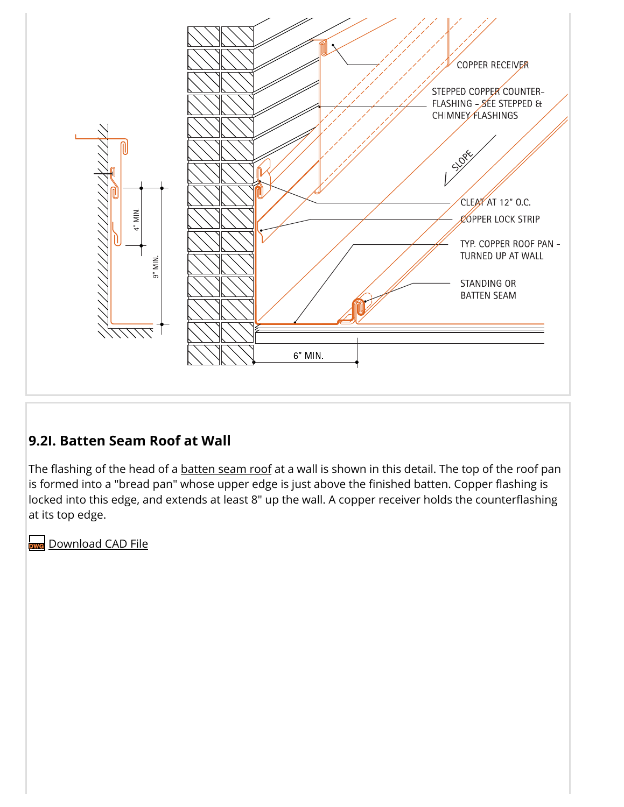![](_page_12_Figure_0.jpeg)

#### **9.2I. Batten Seam Roof at Wall**

The flashing of the head of a **[batten](https://www.copper.org/applications/architecture/arch_dhb/arch-details/roofing/batten_seam_roofing.html) seam roof** at a wall is shown in this detail. The top of the roof pan is formed into a "bread pan" whose upper edge is just above the finished batten. Copper flashing is locked into this edge, and extends at least 8" up the wall. A copper receiver holds the counterflashing at its top edge.

https://www.copper.org/applications/architecture/arch\_dhb/arch-details/flashings\_copings/counterflashing.html 13/15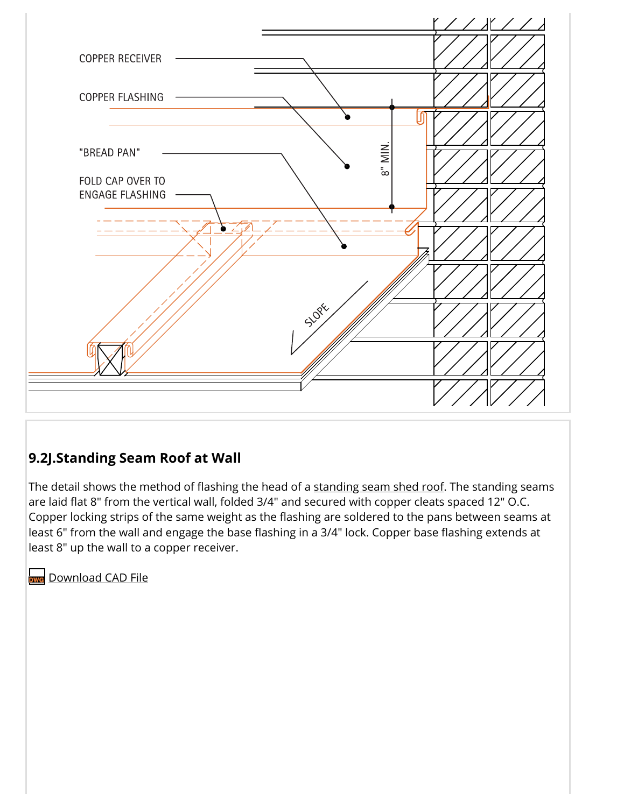![](_page_13_Figure_0.jpeg)

#### **9.2J.Standing Seam Roof at Wall**

The detail shows the method of flashing the head of a [standing](https://www.copper.org/applications/architecture/arch_dhb/arch-details/roofing/standing_seam.html) seam shed roof. The standing seams are laid flat 8" from the vertical wall, folded 3/4" and secured with copper cleats spaced 12" O.C. Copper locking strips of the same weight as the flashing are soldered to the pans between seams at least 6" from the wall and engage the base flashing in a 3/4" lock. Copper base flashing extends at least 8" up the wall to a copper receiver.

https://www.copper.org/applications/architecture/arch\_dhb/arch-details/flashings\_copings/counterflashing.html 14/15